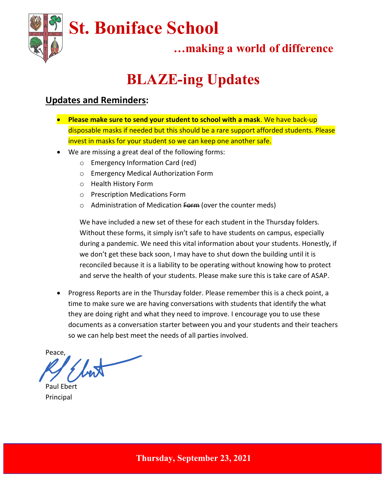

## …making a world of difference

# BLAZE-ing Updates

#### Updates and Reminders:

- Please make sure to send your student to school with a mask. We have back-up disposable masks if needed but this should be a rare support afforded students. Please invest in masks for your student so we can keep one another safe.
- We are missing a great deal of the following forms:
	- o Emergency Information Card (red)
	- o Emergency Medical Authorization Form
	- o Health History Form
	- o Prescription Medications Form
	- o Administration of Medication Form (over the counter meds)

We have included a new set of these for each student in the Thursday folders. Without these forms, it simply isn't safe to have students on campus, especially during a pandemic. We need this vital information about your students. Honestly, if we don't get these back soon, I may have to shut down the building until it is reconciled because it is a liability to be operating without knowing how to protect and serve the health of your students. Please make sure this is take care of ASAP.

• Progress Reports are in the Thursday folder. Please remember this is a check point, a time to make sure we are having conversations with students that identify the what they are doing right and what they need to improve. I encourage you to use these documents as a conversation starter between you and your students and their teachers so we can help best meet the needs of all parties involved.

Peace,

Paul Ebert Principal